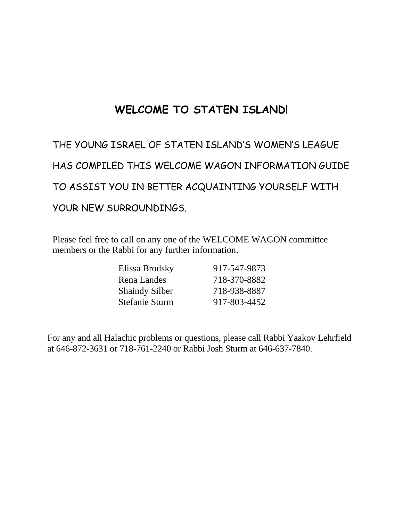# **WELCOME TO STATEN ISLAND!**

THE YOUNG ISRAEL OF STATEN ISLAND'S WOMEN'S LEAGUE HAS COMPILED THIS WELCOME WAGON INFORMATION GUIDE TO ASSIST YOU IN BETTER ACQUAINTING YOURSELF WITH YOUR NEW SURROUNDINGS.

Please feel free to call on any one of the WELCOME WAGON committee members or the Rabbi for any further information.

| Elissa Brodsky        | 917-547-9873 |
|-----------------------|--------------|
| Rena Landes           | 718-370-8882 |
| <b>Shaindy Silber</b> | 718-938-8887 |
| <b>Stefanie Sturm</b> | 917-803-4452 |

For any and all Halachic problems or questions, please call Rabbi Yaakov Lehrfield at 646-872-3631 or 718-761-2240 or Rabbi Josh Sturm at 646-637-7840.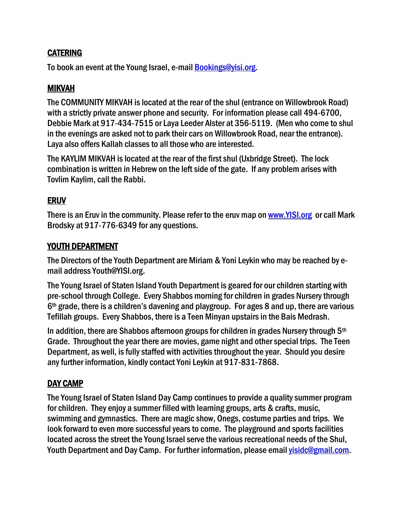# **CATERING**

To book an event at the Young Israel, e-mail **Bookings@yisi.org.** 

# MIKVAH

The COMMUNITY MIKVAH is located at the rear of the shul (entrance on Willowbrook Road) with a strictly private answer phone and security. For information please call 494-6700, Debbie Mark at 917-434-7515 or Laya Leeder Alster at 356-5119. (Men who come to shul in the evenings are asked not to park their cars on Willowbrook Road, near the entrance). Laya also offers Kallah classes to all those who are interested.

The KAYLIM MIKVAH is located at the rear of the first shul (Uxbridge Street). The lock combination is written in Hebrew on the left side of the gate. If any problem arises with Tovlim Kaylim, call the Rabbi.

# ERUV

There is an Eruv in the community. Please refer to the eruv map on [www.YISI.org](http://www.yisi.org/) or call Mark Brodsky at 917-776-6349 for any questions.

#### YOUTH DEPARTMENT

The Directors of the Youth Department are Miriam & Yoni Leykin who may be reached by email address Youth@YISI.org.

The Young Israel of Staten Island Youth Department is geared for our children starting with pre-school through College. Every Shabbos morning for children in grades Nursery through 6th grade, there is a children's davening and playgroup. For ages 8 and up, there are various Tefillah groups. Every Shabbos, there is a Teen Minyan upstairsin the Bais Medrash.

In addition, there are Shabbos afternoon groups for children in grades Nursery through  $5<sup>th</sup>$ Grade. Throughout the year there are movies, game night and other special trips. The Teen Department, as well, is fully staffed with activities throughout the year. Should you desire any further information, kindly contact Yoni Leykin at 917-831-7868.

# DAY CAMP

The Young Israel of Staten Island Day Camp continues to provide a quality summer program for children. They enjoy a summer filled with learning groups, arts & crafts, music, swimming and gymnastics. There are magic show, Onegs, costume parties and trips. We look forward to even more successful years to come. The playground and sports facilities located across the street the Young Israel serve the various recreational needs of the Shul, Youth Department and Day Camp. For further information, please email visidc@gmail.com.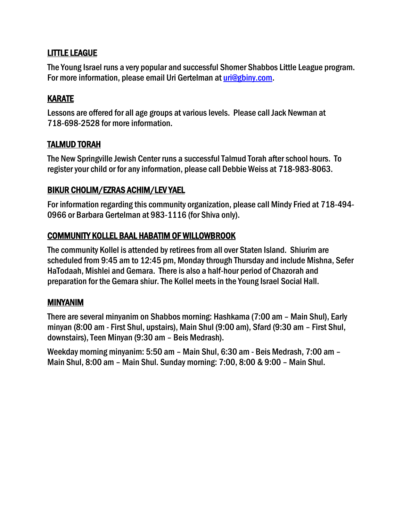# LITTLE LEAGUE

The Young Israel runs a very popular and successful Shomer Shabbos Little League program. For more information, please email Uri Gertelman at [uri@gbiny.com.](mailto:uri@gbiny.com)

# KARATE

Lessons are offered for all age groups at various levels. Please call Jack Newman at 718-698-2528 for more information.

# TALMUD TORAH

The New Springville Jewish Center runs a successful Talmud Torah after school hours. To register your child or for any information, please call Debbie Weiss at 718-983-8063.

# BIKUR CHOLIM/EZRAS ACHIM/LEV YAEL

For information regarding this community organization, please call Mindy Fried at 718-494- 0966 or Barbara Gertelman at 983-1116 (for Shiva only).

# COMMUNITY KOLLEL BAAL HABATIM OF WILLOWBROOK

The community Kollel is attended by retirees from all over Staten Island. Shiurim are scheduled from 9:45 am to 12:45 pm, Monday through Thursday and include Mishna, Sefer HaTodaah, Mishlei and Gemara. There is also a half-hour period of Chazorah and preparation for the Gemara shiur. The Kollel meets in the Young Israel Social Hall.

#### MINYANIM

There are several minyanim on Shabbos morning: Hashkama (7:00 am – Main Shul), Early minyan (8:00 am - First Shul, upstairs), Main Shul (9:00 am), Sfard (9:30 am – First Shul, downstairs), Teen Minyan (9:30 am – Beis Medrash).

Weekday morning minyanim: 5:50 am – Main Shul, 6:30 am - Beis Medrash, 7:00 am – Main Shul, 8:00 am – Main Shul. Sunday morning: 7:00, 8:00 & 9:00 – Main Shul.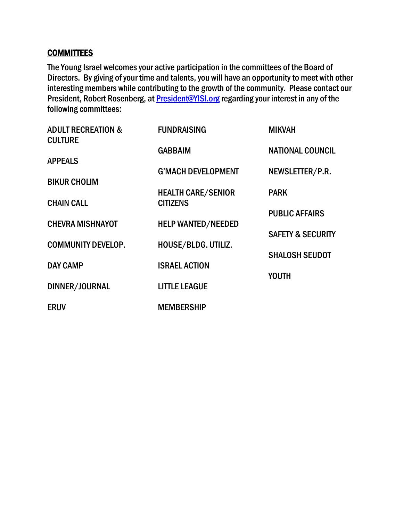#### **COMMITTEES**

The Young Israel welcomes your active participation in the committees of the Board of Directors. By giving of your time and talents, you will have an opportunity to meet with other interesting members while contributing to the growth of the community. Please contact our President, Robert Rosenberg, at **President@YISI.org** regarding your interest in any of the following committees:

| <b>ADULT RECREATION &amp;</b><br><b>CULTURE</b> | <b>FUNDRAISING</b>                           | <b>MIKVAH</b>                |
|-------------------------------------------------|----------------------------------------------|------------------------------|
|                                                 | <b>GABBAIM</b>                               | <b>NATIONAL COUNCIL</b>      |
| <b>APPEALS</b>                                  |                                              |                              |
| <b>BIKUR CHOLIM</b>                             | <b>G'MACH DEVELOPMENT</b>                    | NEWSLETTER/P.R.              |
| <b>CHAIN CALL</b>                               | <b>HEALTH CARE/SENIOR</b><br><b>CITIZENS</b> | <b>PARK</b>                  |
|                                                 |                                              | <b>PUBLIC AFFAIRS</b>        |
| <b>CHEVRA MISHNAYOT</b>                         | <b>HELP WANTED/NEEDED</b>                    |                              |
|                                                 |                                              | <b>SAFETY &amp; SECURITY</b> |
| <b>COMMUNITY DEVELOP.</b>                       | HOUSE/BLDG. UTILIZ.                          | <b>SHALOSH SEUDOT</b>        |
| <b>DAY CAMP</b>                                 | <b>ISRAEL ACTION</b>                         |                              |
|                                                 |                                              | <b>YOUTH</b>                 |
| DINNER/JOURNAL                                  | <b>LITTLE LEAGUE</b>                         |                              |
| <b>ERUV</b>                                     | <b>MEMBERSHIP</b>                            |                              |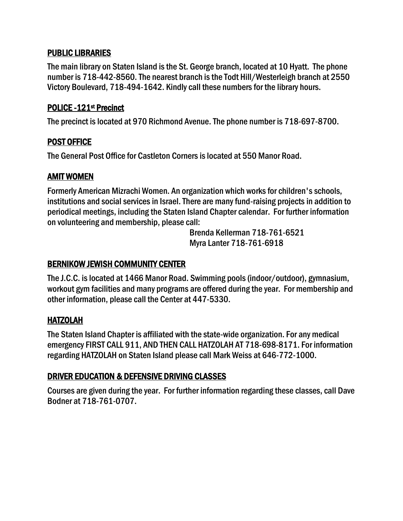#### PUBLIC LIBRARIES

The main library on Staten Island is the St. George branch, located at 10 Hyatt. The phone number is 718-442-8560. The nearest branch is the Todt Hill/Westerleigh branch at 2550 Victory Boulevard, 718-494-1642. Kindly call these numbers for the library hours.

#### POLICE - 121<sup>st</sup> Precinct

The precinct is located at 970 Richmond Avenue. The phone number is 718-697-8700.

#### POST OFFICE

The General Post Office for Castleton Corners is located at 550 Manor Road.

# AMIT WOMEN

Formerly American Mizrachi Women. An organization which works for children's schools, institutions and social services in Israel. There are many fund-raising projects in addition to periodical meetings, including the Staten Island Chapter calendar. For further information on volunteering and membership, please call:

> Brenda Kellerman 718-761-6521 Myra Lanter 718-761-6918

# BERNIKOW JEWISH COMMUNITY CENTER

The J.C.C. is located at 1466 Manor Road. Swimming pools (indoor/outdoor), gymnasium, workout gym facilities and many programs are offered during the year. For membership and other information, please call the Center at 447-5330.

#### HATZOLAH

The Staten Island Chapter is affiliated with the state-wide organization. For any medical emergency FIRST CALL 911, AND THEN CALL HATZOLAH AT 718-698-8171. For information regarding HATZOLAH on Staten Island please call Mark Weiss at 646-772-1000.

#### DRIVER EDUCATION & DEFENSIVE DRIVING CLASSES

Courses are given during the year. For further information regarding these classes, call Dave Bodner at 718-761-0707.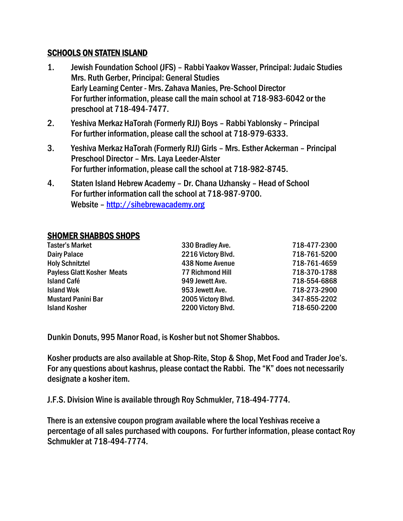#### SCHOOLS ON STATEN ISLAND

- 1. Jewish Foundation School (JFS) Rabbi Yaakov Wasser, Principal: Judaic Studies Mrs. Ruth Gerber, Principal: General Studies Early Learning Center - Mrs. Zahava Manies, Pre-School Director For further information, please call the main school at 718-983-6042 or the preschool at 718-494-7477.
- 2. Yeshiva Merkaz HaTorah (Formerly RJJ) Boys Rabbi Yablonsky Principal For further information, please call the school at 718-979-6333.
- 3. Yeshiva Merkaz HaTorah (Formerly RJJ) Girls Mrs. Esther Ackerman Principal Preschool Director – Mrs. Laya Leeder-Alster For further information, please call the school at 718-982-8745.
- 4. Staten Island Hebrew Academy Dr. Chana Uzhansky Head of School For further information call the school at 718-987-9700. Website – [http://sihebrewacademy.org](http://sihebrewacademy.org/)

#### SHOMER SHABBOS SHOPS

| <b>Taster's Market</b>            | 330 Bradley Ave.        | 718-477-2300 |
|-----------------------------------|-------------------------|--------------|
| <b>Dairy Palace</b>               | 2216 Victory Blvd.      | 718-761-5200 |
| <b>Holy Schnitztel</b>            | 438 Nome Avenue         | 718-761-4659 |
| <b>Payless Glatt Kosher Meats</b> | <b>77 Richmond Hill</b> | 718-370-1788 |
| <b>Island Café</b>                | 949 Jewett Ave.         | 718-554-6868 |
| <b>Island Wok</b>                 | 953 Jewett Ave.         | 718-273-2900 |
| <b>Mustard Panini Bar</b>         | 2005 Victory Blvd.      | 347-855-2202 |
| <b>Island Kosher</b>              | 2200 Victory Blvd.      | 718-650-2200 |

Dunkin Donuts, 995 Manor Road, is Kosher but not Shomer Shabbos.

Kosher products are also available at Shop-Rite, Stop & Shop, Met Food and Trader Joe's. For any questions about kashrus, please contact the Rabbi. The "K" does not necessarily designate a kosher item.

J.F.S. Division Wine is available through Roy Schmukler, 718-494-7774.

There is an extensive coupon program available where the local Yeshivas receive a percentage of all sales purchased with coupons. For further information, please contact Roy Schmukler at 718-494-7774.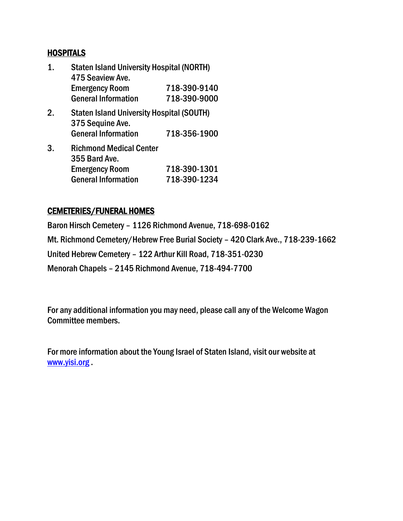#### **HOSPITALS**

| 1  | <b>Staten Island University Hospital (NORTH)</b><br>475 Seaview Ave. |              |  |
|----|----------------------------------------------------------------------|--------------|--|
|    | <b>Emergency Room</b>                                                | 718-390-9140 |  |
|    | <b>General Information</b>                                           | 718-390-9000 |  |
| 2. | <b>Staten Island University Hospital (SOUTH)</b><br>375 Sequine Ave. |              |  |
|    | <b>General Information</b>                                           | 718-356-1900 |  |
| 3. | <b>Richmond Medical Center</b><br>355 Bard Ave.                      |              |  |
|    | <b>Emergency Room</b>                                                | 718-390-1301 |  |
|    | <b>General Information</b>                                           | 718-390-1234 |  |

#### CEMETERIES/FUNERAL HOMES

Baron Hirsch Cemetery – 1126 Richmond Avenue, 718-698-0162 Mt. Richmond Cemetery/Hebrew Free Burial Society – 420 Clark Ave., 718-239-1662 United Hebrew Cemetery – 122 Arthur Kill Road, 718-351-0230 Menorah Chapels – 2145 Richmond Avenue, 718-494-7700

For any additional information you may need, please call any of the Welcome Wagon Committee members.

For more information about the Young Israel of Staten Island, visit our website at [www.yisi.org](http://www.yisi.org/) .